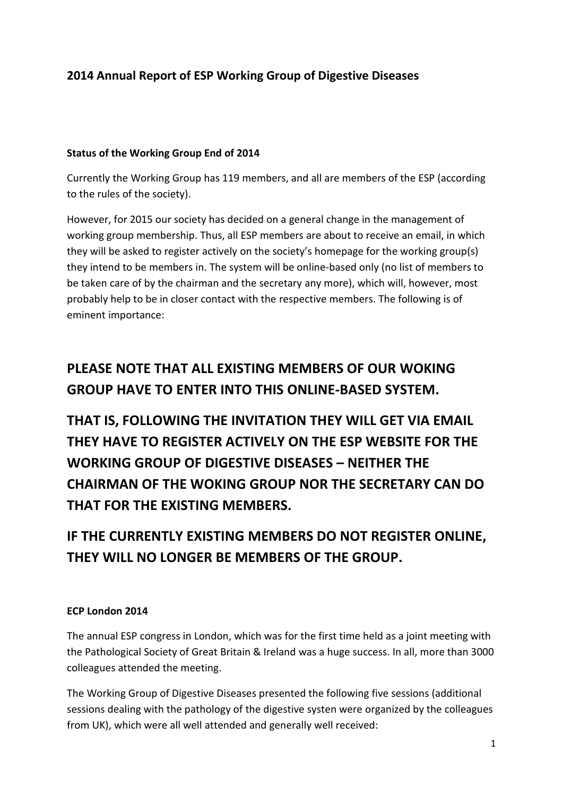## **2014 Annual Report of ESP Working Group of Digestive Diseases**

#### **Status of the Working Group End of 2014**

Currently the Working Group has 119 members, and all are members of the ESP (according to the rules of the society).

However, for 2015 our society has decided on a general change in the management of working group membership. Thus, all ESP members are about to receive an email, in which they will be asked to register actively on the society's homepage for the working group(s) they intend to be members in. The system will be online-based only (no list of members to be taken care of by the chairman and the secretary any more), which will, however, most probably help to be in closer contact with the respective members. The following is of eminent importance:

# **PLEASE NOTE THAT ALL EXISTING MEMBERS OF OUR WOKING GROUP HAVE TO ENTER INTO THIS ONLINE-BASED SYSTEM.**

**THAT IS, FOLLOWING THE INVITATION THEY WILL GET VIA EMAIL THEY HAVE TO REGISTER ACTIVELY ON THE ESP WEBSITE FOR THE WORKING GROUP OF DIGESTIVE DISEASES – NEITHER THE CHAIRMAN OF THE WOKING GROUP NOR THE SECRETARY CAN DO THAT FOR THE EXISTING MEMBERS.** 

**IF THE CURRENTLY EXISTING MEMBERS DO NOT REGISTER ONLINE, THEY WILL NO LONGER BE MEMBERS OF THE GROUP.**

#### **ECP London 2014**

The annual ESP congress in London, which was for the first time held as a joint meeting with the Pathological Society of Great Britain & Ireland was a huge success. In all, more than 3000 colleagues attended the meeting.

The Working Group of Digestive Diseases presented the following five sessions (additional sessions dealing with the pathology of the digestive systen were organized by the colleagues from UK), which were all well attended and generally well received: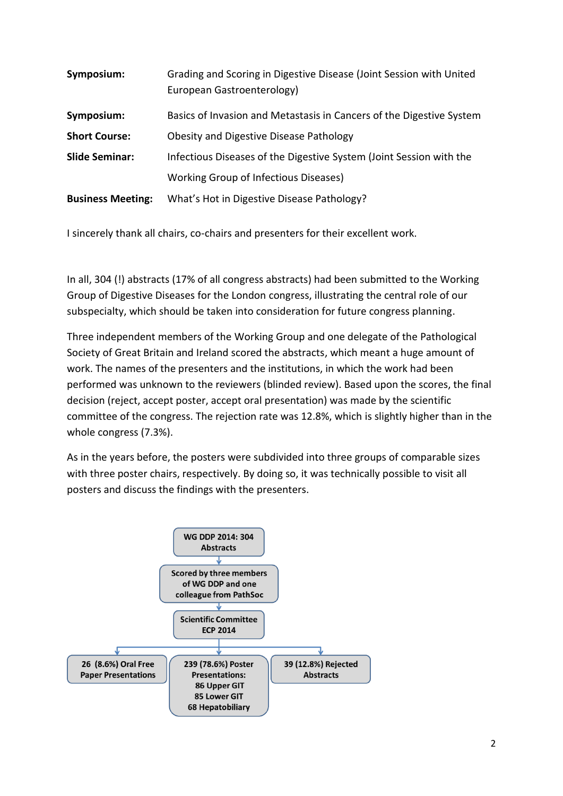| Symposium:               | Grading and Scoring in Digestive Disease (Joint Session with United<br>European Gastroenterology) |
|--------------------------|---------------------------------------------------------------------------------------------------|
| Symposium:               | Basics of Invasion and Metastasis in Cancers of the Digestive System                              |
| <b>Short Course:</b>     | Obesity and Digestive Disease Pathology                                                           |
| <b>Slide Seminar:</b>    | Infectious Diseases of the Digestive System (Joint Session with the                               |
|                          | Working Group of Infectious Diseases)                                                             |
| <b>Business Meeting:</b> | What's Hot in Digestive Disease Pathology?                                                        |

I sincerely thank all chairs, co-chairs and presenters for their excellent work.

In all, 304 (!) abstracts (17% of all congress abstracts) had been submitted to the Working Group of Digestive Diseases for the London congress, illustrating the central role of our subspecialty, which should be taken into consideration for future congress planning.

Three independent members of the Working Group and one delegate of the Pathological Society of Great Britain and Ireland scored the abstracts, which meant a huge amount of work. The names of the presenters and the institutions, in which the work had been performed was unknown to the reviewers (blinded review). Based upon the scores, the final decision (reject, accept poster, accept oral presentation) was made by the scientific committee of the congress. The rejection rate was 12.8%, which is slightly higher than in the whole congress (7.3%).

As in the years before, the posters were subdivided into three groups of comparable sizes with three poster chairs, respectively. By doing so, it was technically possible to visit all posters and discuss the findings with the presenters.

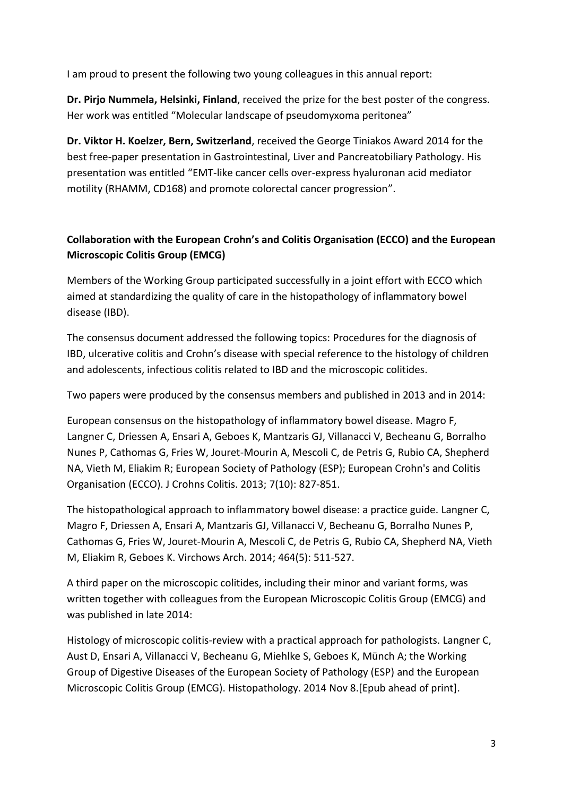I am proud to present the following two young colleagues in this annual report:

**Dr. Pirjo Nummela, Helsinki, Finland**, received the prize for the best poster of the congress. Her work was entitled "Molecular landscape of pseudomyxoma peritonea"

**Dr. Viktor H. Koelzer, Bern, Switzerland**, received the George Tiniakos Award 2014 for the best free-paper presentation in Gastrointestinal, Liver and Pancreatobiliary Pathology. His presentation was entitled "EMT-like cancer cells over-express hyaluronan acid mediator motility (RHAMM, CD168) and promote colorectal cancer progression".

### **Collaboration with the European Crohn's and Colitis Organisation (ECCO) and the European Microscopic Colitis Group (EMCG)**

Members of the Working Group participated successfully in a joint effort with ECCO which aimed at standardizing the quality of care in the histopathology of inflammatory bowel disease (IBD).

The consensus document addressed the following topics: Procedures for the diagnosis of IBD, ulcerative colitis and Crohn's disease with special reference to the histology of children and adolescents, infectious colitis related to IBD and the microscopic colitides.

Two papers were produced by the consensus members and published in 2013 and in 2014:

European consensus on the histopathology of inflammatory bowel disease. Magro F, Langner C, Driessen A, Ensari A, Geboes K, Mantzaris GJ, Villanacci V, Becheanu G, Borralho Nunes P, Cathomas G, Fries W, Jouret-Mourin A, Mescoli C, de Petris G, Rubio CA, Shepherd NA, Vieth M, Eliakim R; European Society of Pathology (ESP); European Crohn's and Colitis Organisation (ECCO). J Crohns Colitis. 2013; 7(10): 827-851.

The histopathological approach to inflammatory bowel disease: a practice guide. Langner C, Magro F, Driessen A, Ensari A, Mantzaris GJ, Villanacci V, Becheanu G, Borralho Nunes P, Cathomas G, Fries W, Jouret-Mourin A, Mescoli C, de Petris G, Rubio CA, Shepherd NA, Vieth M, Eliakim R, Geboes K. Virchows Arch. 2014; 464(5): 511-527.

A third paper on the microscopic colitides, including their minor and variant forms, was written together with colleagues from the European Microscopic Colitis Group (EMCG) and was published in late 2014:

Histology of microscopic colitis-review with a practical approach for pathologists. Langner C, Aust D, Ensari A, Villanacci V, Becheanu G, Miehlke S, Geboes K, Münch A; the Working Group of Digestive Diseases of the European Society of Pathology (ESP) and the European Microscopic Colitis Group (EMCG). Histopathology. 2014 Nov 8.[Epub ahead of print].